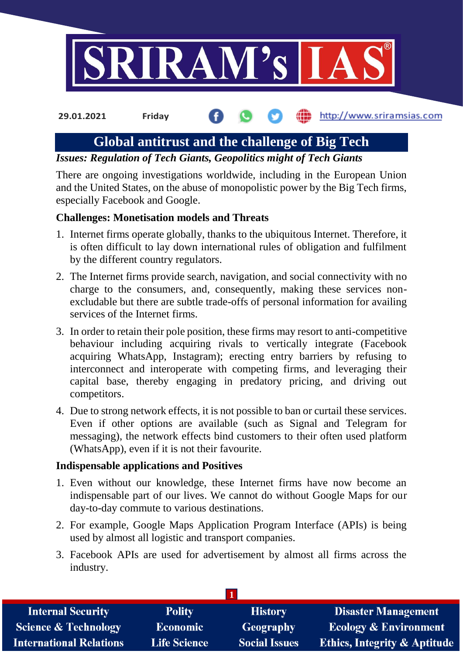

http://www.sriramsias.com **29.01.2021 Friday**

# **Global antitrust and the challenge of Big Tech**

*Issues: Regulation of Tech Giants, Geopolitics might of Tech Giants*

There are ongoing investigations worldwide, including in the European Union and the United States, on the abuse of monopolistic power by the Big Tech firms, especially Facebook and Google.

# **Challenges: Monetisation models and Threats**

- 1. Internet firms operate globally, thanks to the ubiquitous Internet. Therefore, it is often difficult to lay down international rules of obligation and fulfilment by the different country regulators.
- 2. The Internet firms provide search, navigation, and social connectivity with no charge to the consumers, and, consequently, making these services nonexcludable but there are subtle trade-offs of personal information for availing services of the Internet firms.
- 3. In order to retain their pole position, these firms may resort to anti-competitive behaviour including acquiring rivals to vertically integrate (Facebook acquiring WhatsApp, Instagram); erecting entry barriers by refusing to interconnect and interoperate with competing firms, and leveraging their capital base, thereby engaging in predatory pricing, and driving out competitors.
- 4. Due to strong network effects, it is not possible to ban or curtail these services. Even if other options are available (such as Signal and Telegram for messaging), the network effects bind customers to their often used platform (WhatsApp), even if it is not their favourite.

### **Indispensable applications and Positives**

- 1. Even without our knowledge, these Internet firms have now become an indispensable part of our lives. We cannot do without Google Maps for our day-to-day commute to various destinations.
- 2. For example, Google Maps Application Program Interface (APIs) is being used by almost all logistic and transport companies.
- 3. Facebook APIs are used for advertisement by almost all firms across the industry.

| <b>Internal Security</b>        | <b>Polity</b>       | <b>History</b>       | <b>Disaster Management</b>              |
|---------------------------------|---------------------|----------------------|-----------------------------------------|
| <b>Science &amp; Technology</b> | <b>Economic</b>     | Geography            | <b>Ecology &amp; Environment</b>        |
| <b>International Relations</b>  | <b>Life Science</b> | <b>Social Issues</b> | <b>Ethics, Integrity &amp; Aptitude</b> |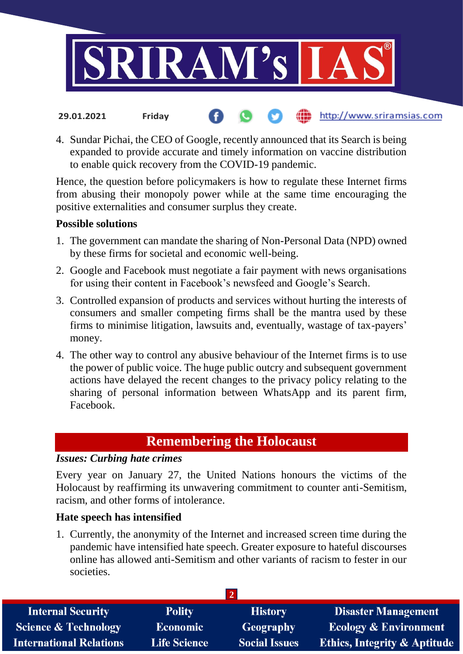

4. Sundar Pichai, the CEO of Google, recently announced that its Search is being expanded to provide accurate and timely information on vaccine distribution to enable quick recovery from the COVID-19 pandemic.

(iii) http://www.sriramsias.com

Hence, the question before policymakers is how to regulate these Internet firms from abusing their monopoly power while at the same time encouraging the positive externalities and consumer surplus they create.

# **Possible solutions**

**29.01.2021 Friday**

- 1. The government can mandate the sharing of Non-Personal Data (NPD) owned by these firms for societal and economic well-being.
- 2. Google and Facebook must negotiate a fair payment with news organisations for using their content in Facebook's newsfeed and Google's Search.
- 3. Controlled expansion of products and services without hurting the interests of consumers and smaller competing firms shall be the mantra used by these firms to minimise litigation, lawsuits and, eventually, wastage of tax-payers' money.
- 4. The other way to control any abusive behaviour of the Internet firms is to use the power of public voice. The huge public outcry and subsequent government actions have delayed the recent changes to the privacy policy relating to the sharing of personal information between WhatsApp and its parent firm, Facebook.

# **Remembering the Holocaust**

# *Issues: Curbing hate crimes*

Every year on January 27, the United Nations honours the victims of the Holocaust by reaffirming its unwavering commitment to counter anti-Semitism, racism, and other forms of intolerance.

### **Hate speech has intensified**

1. Currently, the anonymity of the Internet and increased screen time during the pandemic have intensified hate speech. Greater exposure to hateful discourses online has allowed anti-Semitism and other variants of racism to fester in our societies.

| <b>Internal Security</b>        | <b>Polity</b>       | <b>History</b>       | <b>Disaster Management</b>              |  |  |  |
|---------------------------------|---------------------|----------------------|-----------------------------------------|--|--|--|
| <b>Science &amp; Technology</b> | <b>Economic</b>     | Geography            | <b>Ecology &amp; Environment</b>        |  |  |  |
| <b>International Relations</b>  | <b>Life Science</b> | <b>Social Issues</b> | <b>Ethics, Integrity &amp; Aptitude</b> |  |  |  |
|                                 |                     |                      |                                         |  |  |  |